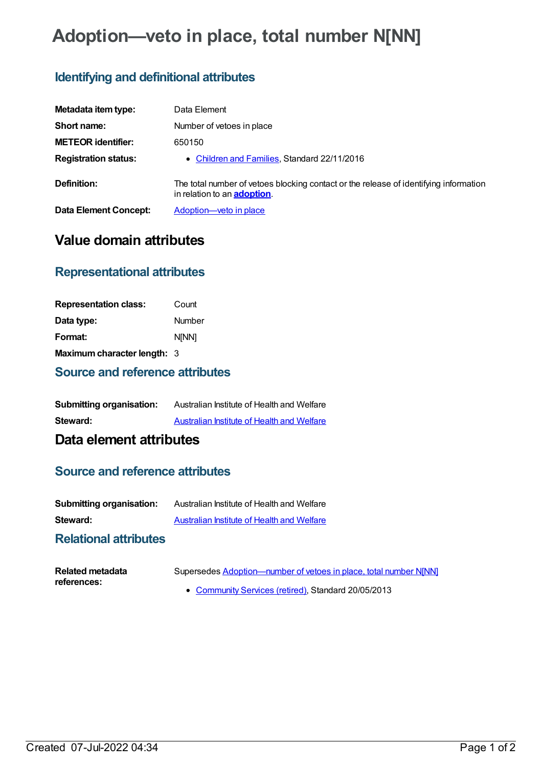# **Adoption—veto in place, total number N[NN]**

## **Identifying and definitional attributes**

| Metadata item type:          | Data Element                                                                                                                 |
|------------------------------|------------------------------------------------------------------------------------------------------------------------------|
| Short name:                  | Number of vetoes in place                                                                                                    |
| <b>METEOR identifier:</b>    | 650150                                                                                                                       |
| <b>Registration status:</b>  | • Children and Families, Standard 22/11/2016                                                                                 |
| Definition:                  | The total number of vetoes blocking contact or the release of identifying information<br>in relation to an <b>adoption</b> . |
| <b>Data Element Concept:</b> | Adoption-veto in place                                                                                                       |

# **Value domain attributes**

### **Representational attributes**

| <b>Representation class:</b> | Count        |
|------------------------------|--------------|
| Data type:                   | Number       |
| Format:                      | <b>NINN1</b> |
| Maximum character length: 3  |              |

#### **Source and reference attributes**

| <b>Submitting organisation:</b> | Australian Institute of Health and Welfare |
|---------------------------------|--------------------------------------------|
| Steward:                        | Australian Institute of Health and Welfare |

# **Data element attributes**

#### **Source and reference attributes**

| <b>Submitting organisation:</b> | Australian Institute of Health and Welfare |
|---------------------------------|--------------------------------------------|
| Steward:                        | Australian Institute of Health and Welfare |

#### **Relational attributes**

| Related metadata | Supersedes Adoption—number of vetoes in place, total number N[NN] |
|------------------|-------------------------------------------------------------------|
| references:      | • Community Services (retired), Standard 20/05/2013               |